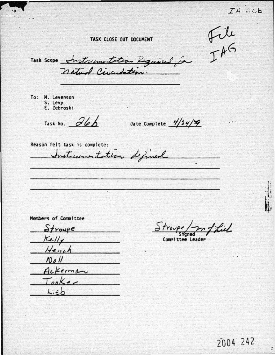File<br>IAG TASK CLOSE OUT DOCUMENT Task Scope Instrumentation Required for To: M. Levenson S. Levy E. Zebroski Task No.  $\partial b$ Date Complete  $\frac{4}{34}\frac{4}{4}$ Reason felt task is complete: Instrumentation defined Members of Committee Liel  $\frac{6}{x}$  $Kell/$ Committee Leader Hench  $Nol$ 

Ackerman

 $ToB$ 

 $Lieb$ 

٠.

2004 242

 $\overline{\phantom{a}}$ 

 $TA-346$